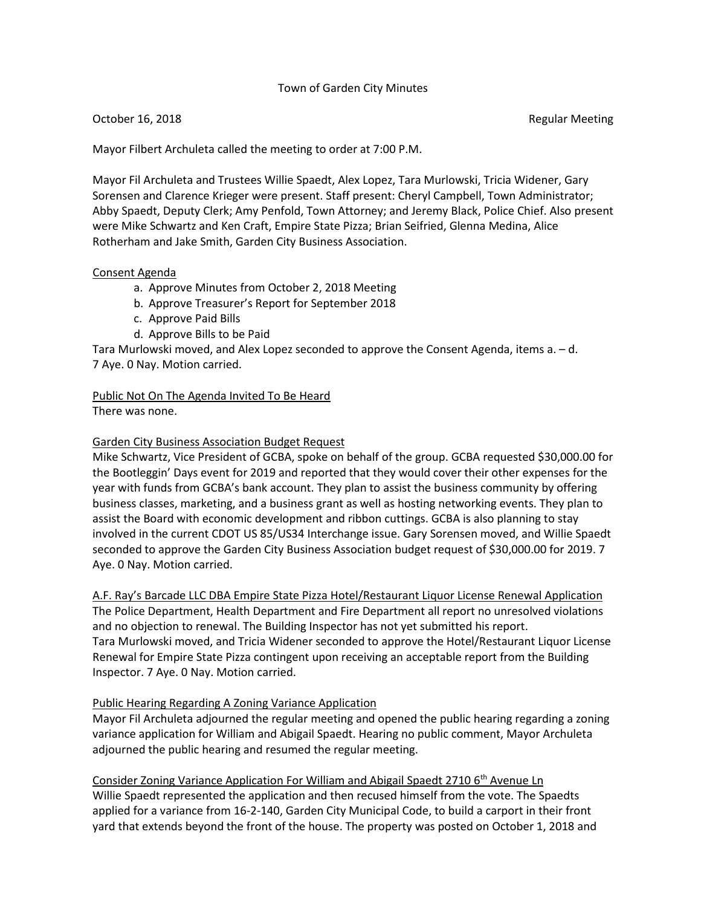### Town of Garden City Minutes

#### October 16, 2018 **Regular Meeting** Regular Meeting Regular Meeting

Mayor Filbert Archuleta called the meeting to order at 7:00 P.M.

Mayor Fil Archuleta and Trustees Willie Spaedt, Alex Lopez, Tara Murlowski, Tricia Widener, Gary Sorensen and Clarence Krieger were present. Staff present: Cheryl Campbell, Town Administrator; Abby Spaedt, Deputy Clerk; Amy Penfold, Town Attorney; and Jeremy Black, Police Chief. Also present were Mike Schwartz and Ken Craft, Empire State Pizza; Brian Seifried, Glenna Medina, Alice Rotherham and Jake Smith, Garden City Business Association.

#### Consent Agenda

- a. Approve Minutes from October 2, 2018 Meeting
- b. Approve Treasurer's Report for September 2018
- c. Approve Paid Bills
- d. Approve Bills to be Paid

Tara Murlowski moved, and Alex Lopez seconded to approve the Consent Agenda, items a. – d. 7 Aye. 0 Nay. Motion carried.

# Public Not On The Agenda Invited To Be Heard

There was none.

### Garden City Business Association Budget Request

Mike Schwartz, Vice President of GCBA, spoke on behalf of the group. GCBA requested \$30,000.00 for the Bootleggin' Days event for 2019 and reported that they would cover their other expenses for the year with funds from GCBA's bank account. They plan to assist the business community by offering business classes, marketing, and a business grant as well as hosting networking events. They plan to assist the Board with economic development and ribbon cuttings. GCBA is also planning to stay involved in the current CDOT US 85/US34 Interchange issue. Gary Sorensen moved, and Willie Spaedt seconded to approve the Garden City Business Association budget request of \$30,000.00 for 2019. 7 Aye. 0 Nay. Motion carried.

### A.F. Ray's Barcade LLC DBA Empire State Pizza Hotel/Restaurant Liquor License Renewal Application

The Police Department, Health Department and Fire Department all report no unresolved violations and no objection to renewal. The Building Inspector has not yet submitted his report. Tara Murlowski moved, and Tricia Widener seconded to approve the Hotel/Restaurant Liquor License Renewal for Empire State Pizza contingent upon receiving an acceptable report from the Building Inspector. 7 Aye. 0 Nay. Motion carried.

### Public Hearing Regarding A Zoning Variance Application

Mayor Fil Archuleta adjourned the regular meeting and opened the public hearing regarding a zoning variance application for William and Abigail Spaedt. Hearing no public comment, Mayor Archuleta adjourned the public hearing and resumed the regular meeting.

Consider Zoning Variance Application For William and Abigail Spaedt 2710 6<sup>th</sup> Avenue Ln Willie Spaedt represented the application and then recused himself from the vote. The Spaedts applied for a variance from 16-2-140, Garden City Municipal Code, to build a carport in their front yard that extends beyond the front of the house. The property was posted on October 1, 2018 and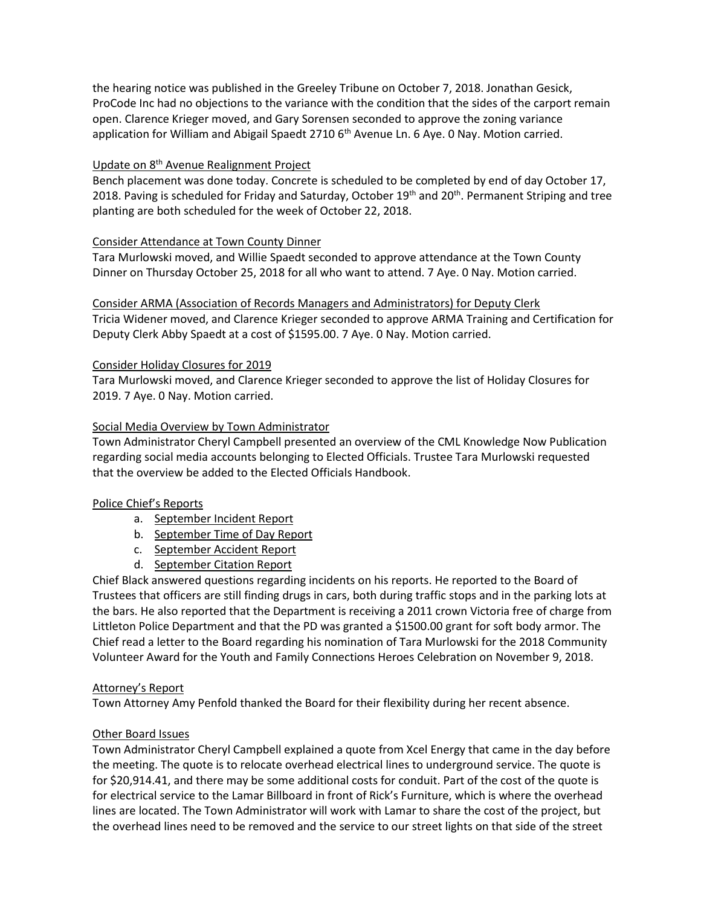the hearing notice was published in the Greeley Tribune on October 7, 2018. Jonathan Gesick, ProCode Inc had no objections to the variance with the condition that the sides of the carport remain open. Clarence Krieger moved, and Gary Sorensen seconded to approve the zoning variance application for William and Abigail Spaedt 2710 6<sup>th</sup> Avenue Ln. 6 Aye. 0 Nay. Motion carried.

# Update on 8th Avenue Realignment Project

Bench placement was done today. Concrete is scheduled to be completed by end of day October 17, 2018. Paving is scheduled for Friday and Saturday, October  $19<sup>th</sup>$  and  $20<sup>th</sup>$ . Permanent Striping and tree planting are both scheduled for the week of October 22, 2018.

## Consider Attendance at Town County Dinner

Tara Murlowski moved, and Willie Spaedt seconded to approve attendance at the Town County Dinner on Thursday October 25, 2018 for all who want to attend. 7 Aye. 0 Nay. Motion carried.

### Consider ARMA (Association of Records Managers and Administrators) for Deputy Clerk

Tricia Widener moved, and Clarence Krieger seconded to approve ARMA Training and Certification for Deputy Clerk Abby Spaedt at a cost of \$1595.00. 7 Aye. 0 Nay. Motion carried.

## Consider Holiday Closures for 2019

Tara Murlowski moved, and Clarence Krieger seconded to approve the list of Holiday Closures for 2019. 7 Aye. 0 Nay. Motion carried.

## Social Media Overview by Town Administrator

Town Administrator Cheryl Campbell presented an overview of the CML Knowledge Now Publication regarding social media accounts belonging to Elected Officials. Trustee Tara Murlowski requested that the overview be added to the Elected Officials Handbook.

# Police Chief's Reports

- a. September Incident Report
- b. September Time of Day Report
- c. September Accident Report
- d. September Citation Report

Chief Black answered questions regarding incidents on his reports. He reported to the Board of Trustees that officers are still finding drugs in cars, both during traffic stops and in the parking lots at the bars. He also reported that the Department is receiving a 2011 crown Victoria free of charge from Littleton Police Department and that the PD was granted a \$1500.00 grant for soft body armor. The Chief read a letter to the Board regarding his nomination of Tara Murlowski for the 2018 Community Volunteer Award for the Youth and Family Connections Heroes Celebration on November 9, 2018.

### Attorney's Report

Town Attorney Amy Penfold thanked the Board for their flexibility during her recent absence.

# Other Board Issues

Town Administrator Cheryl Campbell explained a quote from Xcel Energy that came in the day before the meeting. The quote is to relocate overhead electrical lines to underground service. The quote is for \$20,914.41, and there may be some additional costs for conduit. Part of the cost of the quote is for electrical service to the Lamar Billboard in front of Rick's Furniture, which is where the overhead lines are located. The Town Administrator will work with Lamar to share the cost of the project, but the overhead lines need to be removed and the service to our street lights on that side of the street